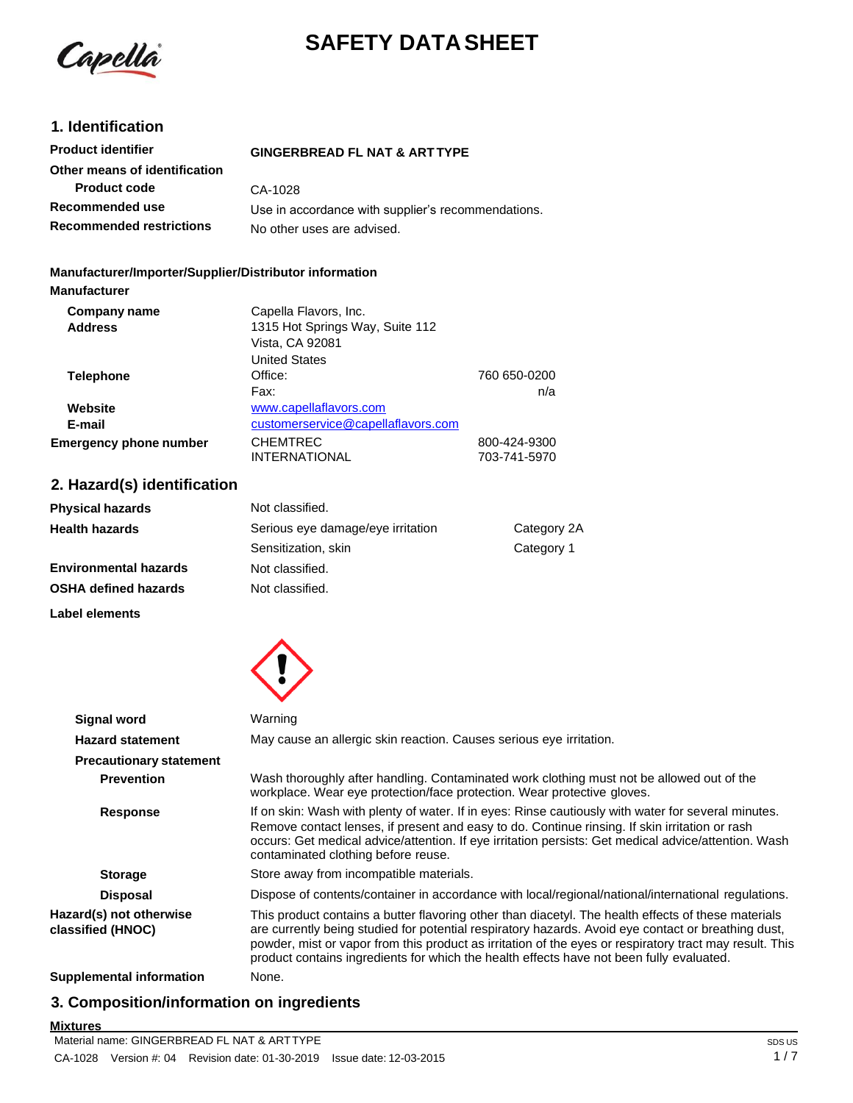

# **SAFETY DATA SHEET**

# **1. Identification**

| <b>Product identifier</b>       | <b>GINGERBREAD FL NAT &amp; ARTTYPE</b>            |
|---------------------------------|----------------------------------------------------|
| Other means of identification   |                                                    |
| <b>Product code</b>             | CA-1028                                            |
| Recommended use                 | Use in accordance with supplier's recommendations. |
| <b>Recommended restrictions</b> | No other uses are advised.                         |

### **Manufacturer/Importer/Supplier/Distributor information**

| <b>Manufacturer</b>           |                                    |              |
|-------------------------------|------------------------------------|--------------|
| Company name                  | Capella Flavors, Inc.              |              |
| <b>Address</b>                | 1315 Hot Springs Way, Suite 112    |              |
|                               | Vista, CA 92081                    |              |
|                               | <b>United States</b>               |              |
| <b>Telephone</b>              | Office:                            | 760 650-0200 |
|                               | Fax:                               | n/a          |
| Website                       | www.capellaflavors.com             |              |
| E-mail                        | customerservice@capellaflavors.com |              |
| <b>Emergency phone number</b> | <b>CHEMTREC</b>                    | 800-424-9300 |
|                               | <b>INTERNATIONAL</b>               | 703-741-5970 |

# **2. Hazard(s) identification**

| <b>Physical hazards</b>      | Not classified.                   |             |
|------------------------------|-----------------------------------|-------------|
| <b>Health hazards</b>        | Serious eye damage/eye irritation | Category 2A |
|                              | Sensitization, skin               | Category 1  |
| <b>Environmental hazards</b> | Not classified.                   |             |
| <b>OSHA defined hazards</b>  | Not classified.                   |             |
|                              |                                   |             |

**Label elements**



| <b>Signal word</b>                           | Warning                                                                                                                                                                                                                                                                                                                                                                                                           |
|----------------------------------------------|-------------------------------------------------------------------------------------------------------------------------------------------------------------------------------------------------------------------------------------------------------------------------------------------------------------------------------------------------------------------------------------------------------------------|
| <b>Hazard statement</b>                      | May cause an allergic skin reaction. Causes serious eye irritation.                                                                                                                                                                                                                                                                                                                                               |
| <b>Precautionary statement</b>               |                                                                                                                                                                                                                                                                                                                                                                                                                   |
| <b>Prevention</b>                            | Wash thoroughly after handling. Contaminated work clothing must not be allowed out of the<br>workplace. Wear eye protection/face protection. Wear protective gloves.                                                                                                                                                                                                                                              |
| Response                                     | If on skin: Wash with plenty of water. If in eyes: Rinse cautiously with water for several minutes.<br>Remove contact lenses, if present and easy to do. Continue rinsing. If skin irritation or rash<br>occurs: Get medical advice/attention. If eye irritation persists: Get medical advice/attention. Wash<br>contaminated clothing before reuse.                                                              |
| <b>Storage</b>                               | Store away from incompatible materials.                                                                                                                                                                                                                                                                                                                                                                           |
| <b>Disposal</b>                              | Dispose of contents/container in accordance with local/regional/national/international regulations.                                                                                                                                                                                                                                                                                                               |
| Hazard(s) not otherwise<br>classified (HNOC) | This product contains a butter flavoring other than diacetyl. The health effects of these materials<br>are currently being studied for potential respiratory hazards. Avoid eye contact or breathing dust,<br>powder, mist or vapor from this product as irritation of the eyes or respiratory tract may result. This<br>product contains ingredients for which the health effects have not been fully evaluated. |
| Supplemental information                     | None.                                                                                                                                                                                                                                                                                                                                                                                                             |

# **3. Composition/information on ingredients**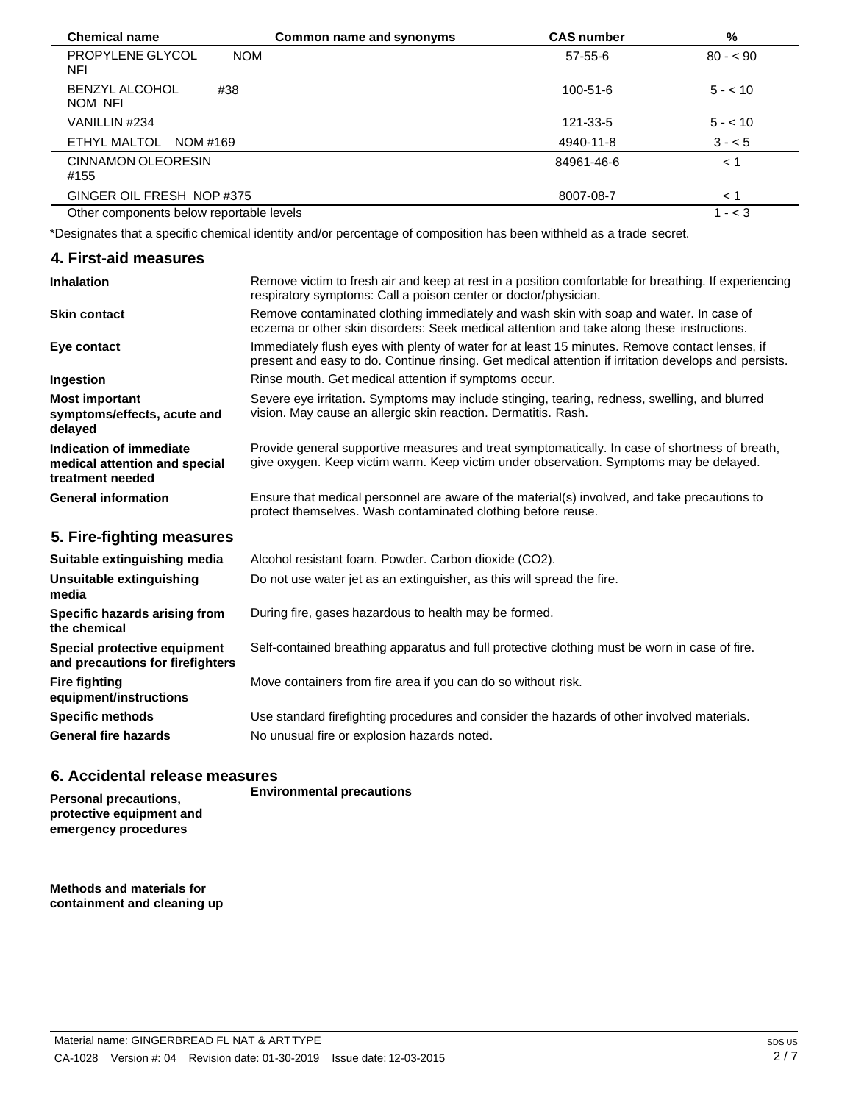| <b>Chemical name</b>                     | Common name and synonyms | <b>CAS number</b> | %         |
|------------------------------------------|--------------------------|-------------------|-----------|
| PROPYLENE GLYCOL<br><b>NOM</b><br>NFI    |                          | $57 - 55 - 6$     | $80 - 90$ |
| <b>BENZYL ALCOHOL</b><br>#38<br>NOM NFI  |                          | 100-51-6          | $5 - 10$  |
| VANILLIN #234                            |                          | 121-33-5          | $5 - 10$  |
| ETHYL MALTOL<br>NOM #169                 |                          | 4940-11-8         | $3 - 5$   |
| CINNAMON OLEORESIN<br>#155               |                          | 84961-46-6        | < 1       |
| GINGER OIL FRESH NOP #375                |                          | 8007-08-7         | < 1       |
| Other components below reportable levels |                          |                   | $1 - < 3$ |

\*Designates that a specific chemical identity and/or percentage of composition has been withheld as a trade secret.

### **4. First-aid measures**

| <b>Inhalation</b>                                                            | Remove victim to fresh air and keep at rest in a position comfortable for breathing. If experiencing<br>respiratory symptoms: Call a poison center or doctor/physician.                                |
|------------------------------------------------------------------------------|--------------------------------------------------------------------------------------------------------------------------------------------------------------------------------------------------------|
| <b>Skin contact</b>                                                          | Remove contaminated clothing immediately and wash skin with soap and water. In case of<br>eczema or other skin disorders: Seek medical attention and take along these instructions.                    |
| Eye contact                                                                  | Immediately flush eyes with plenty of water for at least 15 minutes. Remove contact lenses, if<br>present and easy to do. Continue rinsing. Get medical attention if irritation develops and persists. |
| Ingestion                                                                    | Rinse mouth. Get medical attention if symptoms occur.                                                                                                                                                  |
| <b>Most important</b><br>symptoms/effects, acute and<br>delayed              | Severe eye irritation. Symptoms may include stinging, tearing, redness, swelling, and blurred<br>vision. May cause an allergic skin reaction. Dermatitis. Rash.                                        |
| Indication of immediate<br>medical attention and special<br>treatment needed | Provide general supportive measures and treat symptomatically. In case of shortness of breath,<br>give oxygen. Keep victim warm. Keep victim under observation. Symptoms may be delayed.               |
| <b>General information</b>                                                   | Ensure that medical personnel are aware of the material(s) involved, and take precautions to<br>protect themselves. Wash contaminated clothing before reuse.                                           |
| 5. Fire-fighting measures                                                    |                                                                                                                                                                                                        |

| Suitable extinguishing media                                     | Alcohol resistant foam. Powder. Carbon dioxide (CO2).                                         |
|------------------------------------------------------------------|-----------------------------------------------------------------------------------------------|
| Unsuitable extinguishing<br>media                                | Do not use water jet as an extinguisher, as this will spread the fire.                        |
| Specific hazards arising from<br>the chemical                    | During fire, gases hazardous to health may be formed.                                         |
| Special protective equipment<br>and precautions for firefighters | Self-contained breathing apparatus and full protective clothing must be worn in case of fire. |
| <b>Fire fighting</b><br>equipment/instructions                   | Move containers from fire area if you can do so without risk.                                 |
| <b>Specific methods</b>                                          | Use standard firefighting procedures and consider the hazards of other involved materials.    |
| <b>General fire hazards</b>                                      | No unusual fire or explosion hazards noted.                                                   |

# **6. Accidental release measures**

**Personal precautions, protective equipment and emergency procedures**

**Environmental precautions**

**Methods and materials for containment and cleaning up**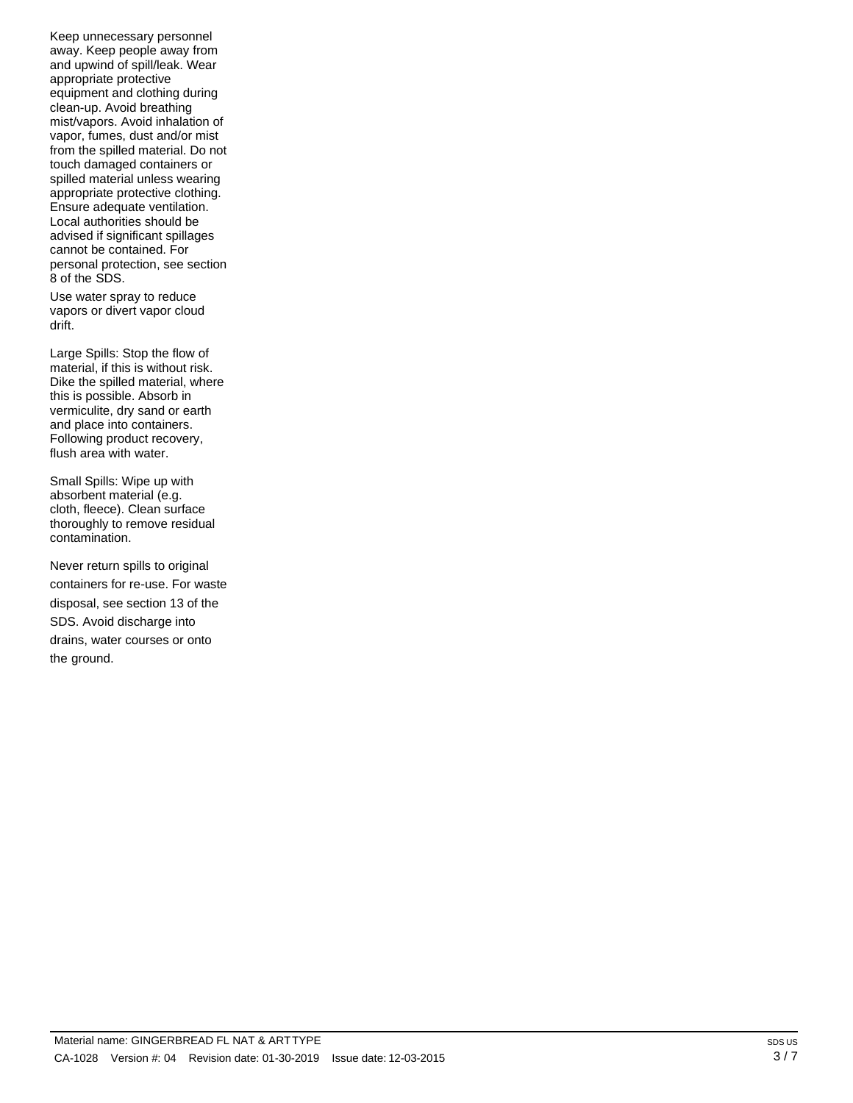Keep unnecessary personnel away. Keep people away from and upwind of spill/leak. Wear appropriate protective equipment and clothing during clean-up. Avoid breathing mist/vapors. Avoid inhalation of vapor, fumes, dust and/or mist from the spilled material. Do not touch damaged containers or spilled material unless wearing appropriate protective clothing. Ensure adequate ventilation. Local authorities should be advised if significant spillages cannot be contained. For personal protection, see section 8 of the SDS.

Use water spray to reduce vapors or divert vapor cloud drift.

Large Spills: Stop the flow of material, if this is without risk. Dike the spilled material, where this is possible. Absorb in vermiculite, dry sand or earth and place into containers. Following product recovery, flush area with water.

Small Spills: Wipe up with absorbent material (e.g. cloth, fleece). Clean surface thoroughly to remove residual contamination.

Never return spills to original containers for re-use. For waste disposal, see section 13 of the SDS. Avoid discharge into drains, water courses or onto the ground.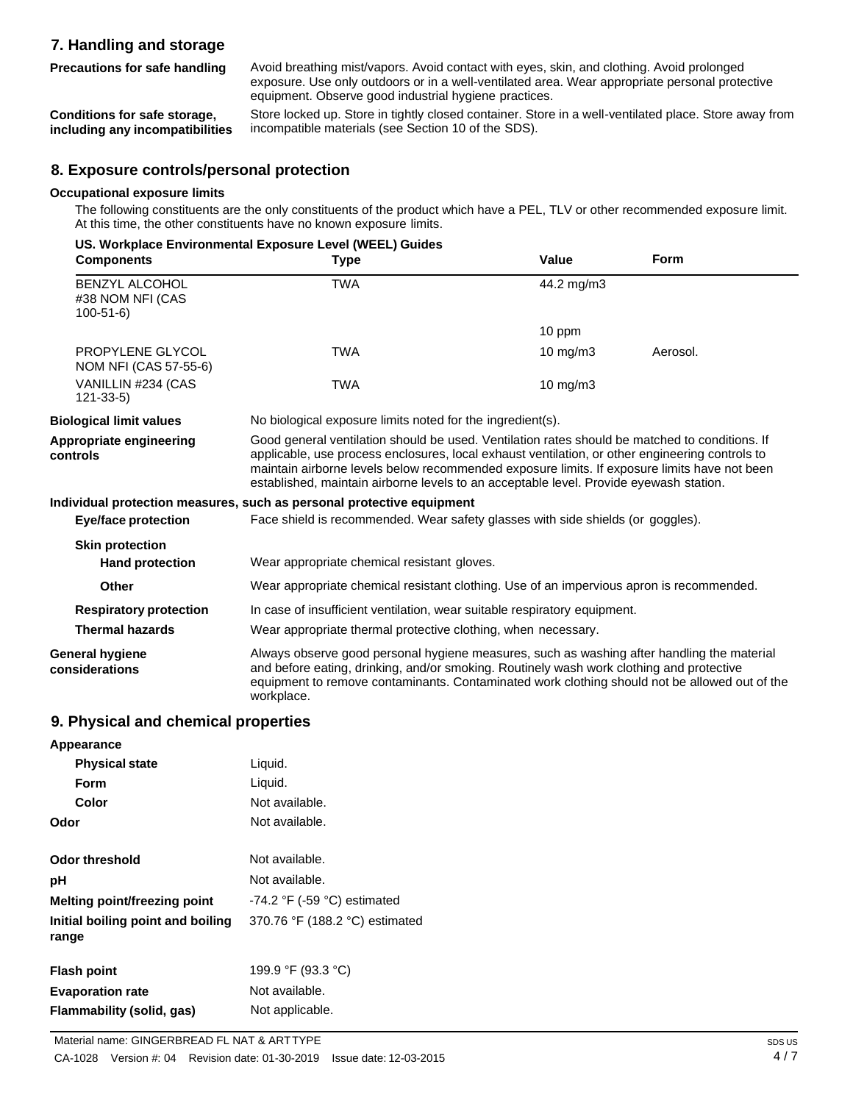# **7. Handling and storage**

**Precautions for safe handling**

Avoid breathing mist/vapors. Avoid contact with eyes, skin, and clothing. Avoid prolonged exposure. Use only outdoors or in a well-ventilated area. Wear appropriate personal protective equipment. Observe good industrial hygiene practices.

**Conditions for safe storage, including any incompatibilities** Store locked up. Store in tightly closed container. Store in a well-ventilated place. Store away from incompatible materials (see Section 10 of the SDS).

## **8. Exposure controls/personal protection**

### **Occupational exposure limits**

The following constituents are the only constituents of the product which have a PEL, TLV or other recommended exposure limit. At this time, the other constituents have no known exposure limits.

| <b>Components</b>                                    | US. Workplace Environmental Exposure Level (WEEL) Guides<br><b>Type</b>                                                                                                                                                                                                                                                                                                                     | Value      | <b>Form</b> |
|------------------------------------------------------|---------------------------------------------------------------------------------------------------------------------------------------------------------------------------------------------------------------------------------------------------------------------------------------------------------------------------------------------------------------------------------------------|------------|-------------|
| BENZYL ALCOHOL<br>#38 NOM NFI (CAS<br>$100 - 51 - 6$ | <b>TWA</b>                                                                                                                                                                                                                                                                                                                                                                                  | 44.2 mg/m3 |             |
|                                                      |                                                                                                                                                                                                                                                                                                                                                                                             | 10 ppm     |             |
| PROPYLENE GLYCOL<br>NOM NFI (CAS 57-55-6)            | <b>TWA</b>                                                                                                                                                                                                                                                                                                                                                                                  | 10 $mg/m3$ | Aerosol.    |
| VANILLIN #234 (CAS<br>$121 - 33 - 5$                 | <b>TWA</b>                                                                                                                                                                                                                                                                                                                                                                                  | 10 $mg/m3$ |             |
| <b>Biological limit values</b>                       | No biological exposure limits noted for the ingredient(s).                                                                                                                                                                                                                                                                                                                                  |            |             |
| Appropriate engineering<br>controls                  | Good general ventilation should be used. Ventilation rates should be matched to conditions. If<br>applicable, use process enclosures, local exhaust ventilation, or other engineering controls to<br>maintain airborne levels below recommended exposure limits. If exposure limits have not been<br>established, maintain airborne levels to an acceptable level. Provide eyewash station. |            |             |
|                                                      | Individual protection measures, such as personal protective equipment                                                                                                                                                                                                                                                                                                                       |            |             |
| <b>Eye/face protection</b>                           | Face shield is recommended. Wear safety glasses with side shields (or goggles).                                                                                                                                                                                                                                                                                                             |            |             |
| <b>Skin protection</b>                               |                                                                                                                                                                                                                                                                                                                                                                                             |            |             |
| <b>Hand protection</b>                               | Wear appropriate chemical resistant gloves.                                                                                                                                                                                                                                                                                                                                                 |            |             |
| <b>Other</b>                                         | Wear appropriate chemical resistant clothing. Use of an impervious apron is recommended.                                                                                                                                                                                                                                                                                                    |            |             |
| <b>Respiratory protection</b>                        | In case of insufficient ventilation, wear suitable respiratory equipment.                                                                                                                                                                                                                                                                                                                   |            |             |
| <b>Thermal hazards</b>                               | Wear appropriate thermal protective clothing, when necessary.                                                                                                                                                                                                                                                                                                                               |            |             |
| <b>General hygiene</b><br>considerations             | Always observe good personal hygiene measures, such as washing after handling the material<br>and before eating, drinking, and/or smoking. Routinely wash work clothing and protective<br>equipment to remove contaminants. Contaminated work clothing should not be allowed out of the<br>workplace.                                                                                       |            |             |
| 9. Physical and chemical properties                  |                                                                                                                                                                                                                                                                                                                                                                                             |            |             |
| Appearance                                           |                                                                                                                                                                                                                                                                                                                                                                                             |            |             |
| <b>Dhugiani stata</b>                                | المنسوبا                                                                                                                                                                                                                                                                                                                                                                                    |            |             |

| <b>Physical state</b>                      | Liquid.                          |
|--------------------------------------------|----------------------------------|
| <b>Form</b>                                | Liquid.                          |
| Color                                      | Not available.                   |
| Odor                                       | Not available.                   |
| <b>Odor threshold</b>                      | Not available.                   |
| рH                                         | Not available.                   |
| Melting point/freezing point               | $-74.2$ °F ( $-59$ °C) estimated |
| Initial boiling point and boiling<br>range | 370.76 °F (188.2 °C) estimated   |
| <b>Flash point</b>                         | 199.9 °F (93.3 °C)               |
| <b>Evaporation rate</b>                    | Not available.                   |

**Flammability (solid, gas)** Not applicable.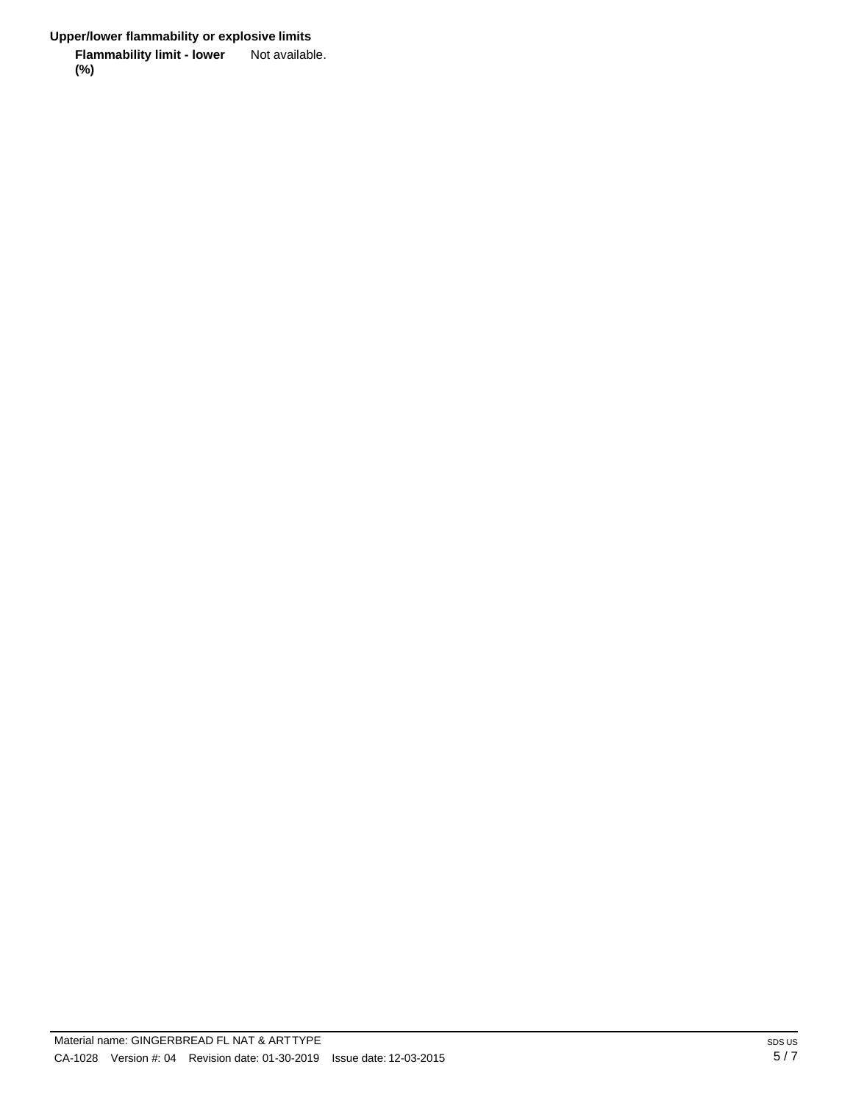**Upper/lower flammability or explosive limits**

**Flammability limit - lower (%)** Not available.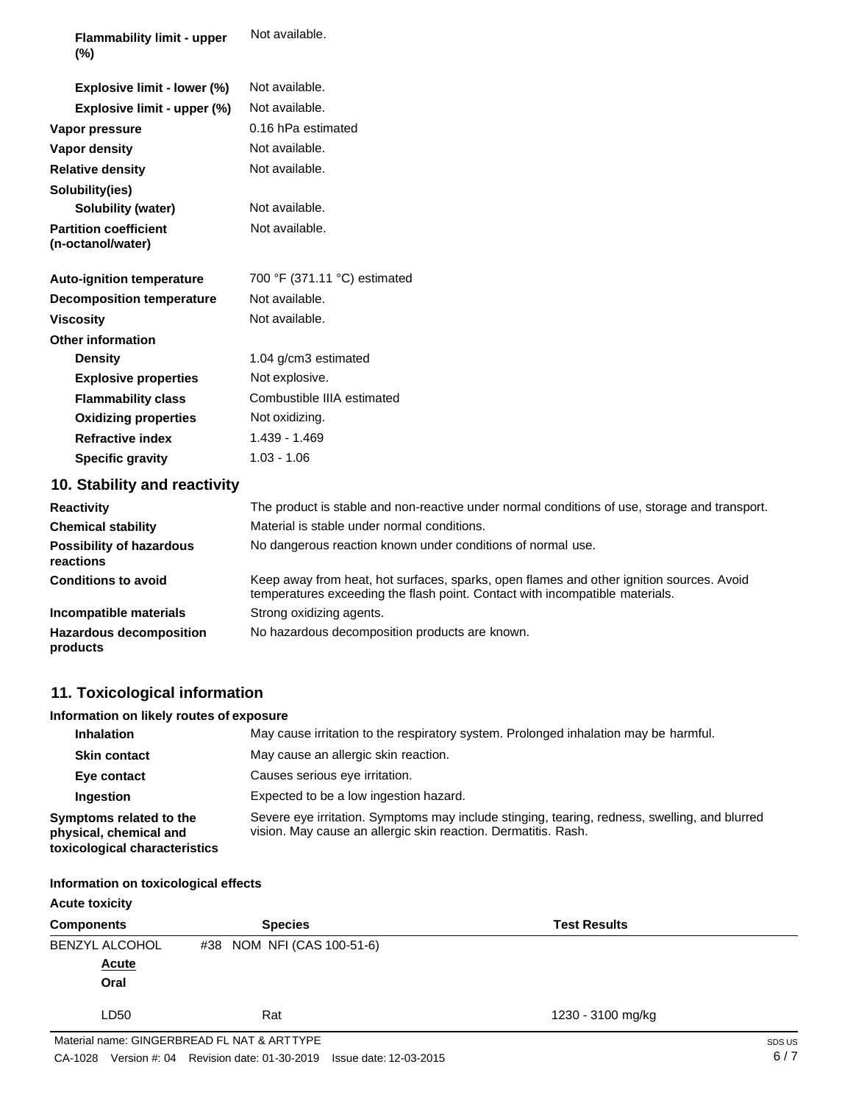| <b>Flammability limit - upper</b><br>$(\%)$       | Not available.                                                                                                                                                           |
|---------------------------------------------------|--------------------------------------------------------------------------------------------------------------------------------------------------------------------------|
| Explosive limit - lower (%)                       | Not available.                                                                                                                                                           |
| Explosive limit - upper (%)                       | Not available.                                                                                                                                                           |
| Vapor pressure                                    | 0.16 hPa estimated                                                                                                                                                       |
| <b>Vapor density</b>                              | Not available.                                                                                                                                                           |
| <b>Relative density</b>                           | Not available.                                                                                                                                                           |
| Solubility(ies)                                   |                                                                                                                                                                          |
| <b>Solubility (water)</b>                         | Not available.                                                                                                                                                           |
| <b>Partition coefficient</b><br>(n-octanol/water) | Not available.                                                                                                                                                           |
| <b>Auto-ignition temperature</b>                  | 700 °F (371.11 °C) estimated                                                                                                                                             |
| <b>Decomposition temperature</b>                  | Not available.                                                                                                                                                           |
| <b>Viscosity</b>                                  | Not available.                                                                                                                                                           |
| <b>Other information</b>                          |                                                                                                                                                                          |
| <b>Density</b>                                    | 1.04 g/cm3 estimated                                                                                                                                                     |
| <b>Explosive properties</b>                       | Not explosive.                                                                                                                                                           |
| <b>Flammability class</b>                         | Combustible IIIA estimated                                                                                                                                               |
| <b>Oxidizing properties</b>                       | Not oxidizing.                                                                                                                                                           |
| <b>Refractive index</b>                           | 1.439 - 1.469                                                                                                                                                            |
| <b>Specific gravity</b>                           | $1.03 - 1.06$                                                                                                                                                            |
| 10. Stability and reactivity                      |                                                                                                                                                                          |
| <b>Reactivity</b>                                 | The product is stable and non-reactive under normal conditions of use, storage and transport.                                                                            |
| <b>Chemical stability</b>                         | Material is stable under normal conditions.                                                                                                                              |
| <b>Possibility of hazardous</b><br>reactions      | No dangerous reaction known under conditions of normal use.                                                                                                              |
| <b>Conditions to avoid</b>                        | Keep away from heat, hot surfaces, sparks, open flames and other ignition sources. Avoid<br>temperatures exceeding the flash point. Contact with incompatible materials. |
| Incompatible materials                            | Strong oxidizing agents.                                                                                                                                                 |
| <b>Hazardous decomposition</b><br>products        | No hazardous decomposition products are known.                                                                                                                           |

# **11. Toxicological information**

### **Information on likely routes of exposure**

| <b>Inhalation</b>                                                                  | May cause irritation to the respiratory system. Prolonged inhalation may be harmful.                                                                            |
|------------------------------------------------------------------------------------|-----------------------------------------------------------------------------------------------------------------------------------------------------------------|
| <b>Skin contact</b>                                                                | May cause an allergic skin reaction.                                                                                                                            |
| Eye contact                                                                        | Causes serious eye irritation.                                                                                                                                  |
| <b>Ingestion</b>                                                                   | Expected to be a low ingestion hazard.                                                                                                                          |
| Symptoms related to the<br>physical, chemical and<br>toxicological characteristics | Severe eye irritation. Symptoms may include stinging, tearing, redness, swelling, and blurred<br>vision. May cause an allergic skin reaction. Dermatitis. Rash. |

### **Information on toxicological effects**

| <b>Acute toxicity</b> |                                             |                     |        |
|-----------------------|---------------------------------------------|---------------------|--------|
| <b>Components</b>     | <b>Species</b>                              | <b>Test Results</b> |        |
| <b>BENZYL ALCOHOL</b> | #38 NOM NFI (CAS 100-51-6)                  |                     |        |
| <b>Acute</b>          |                                             |                     |        |
| Oral                  |                                             |                     |        |
| LD50                  | Rat                                         | 1230 - 3100 mg/kg   |        |
|                       | Material name: GINGERBREAD FL NAT & ARTTYPE |                     | SDS US |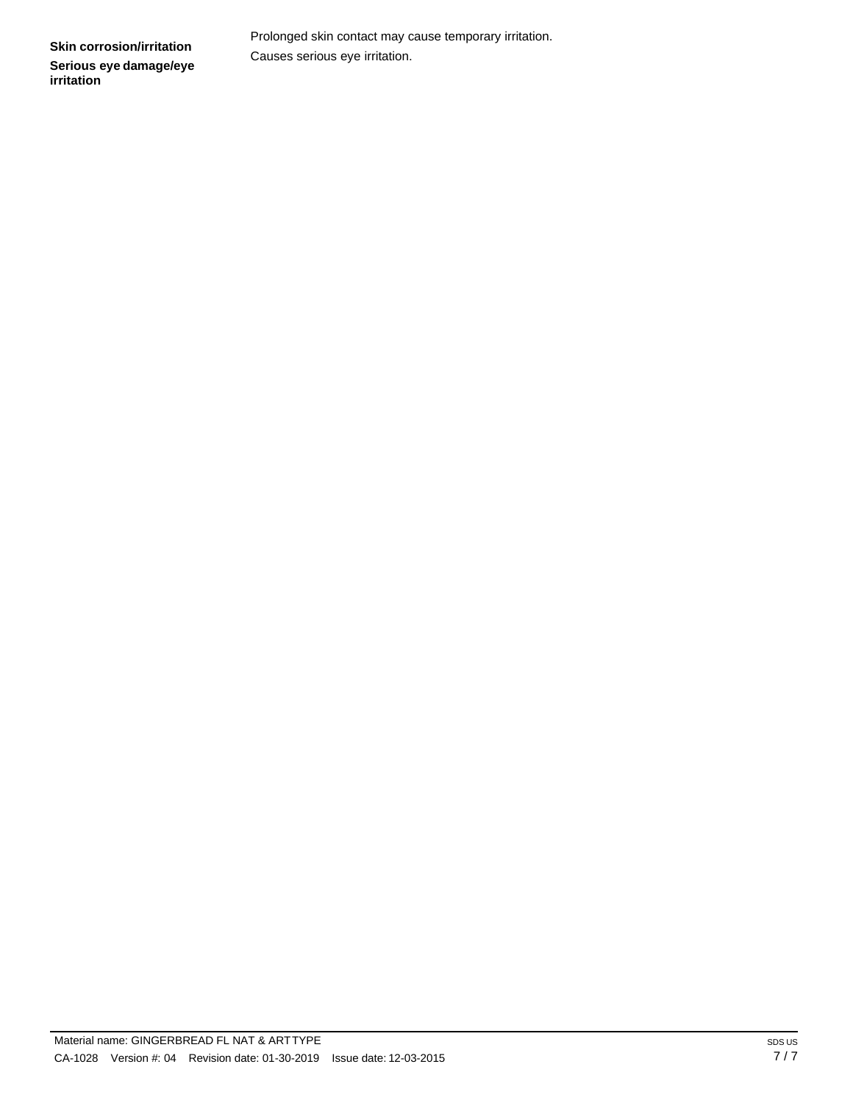Prolonged skin contact may cause temporary irritation. Causes serious eye irritation.

**Skin corrosion/irritation Serious eye damage/eye irritation**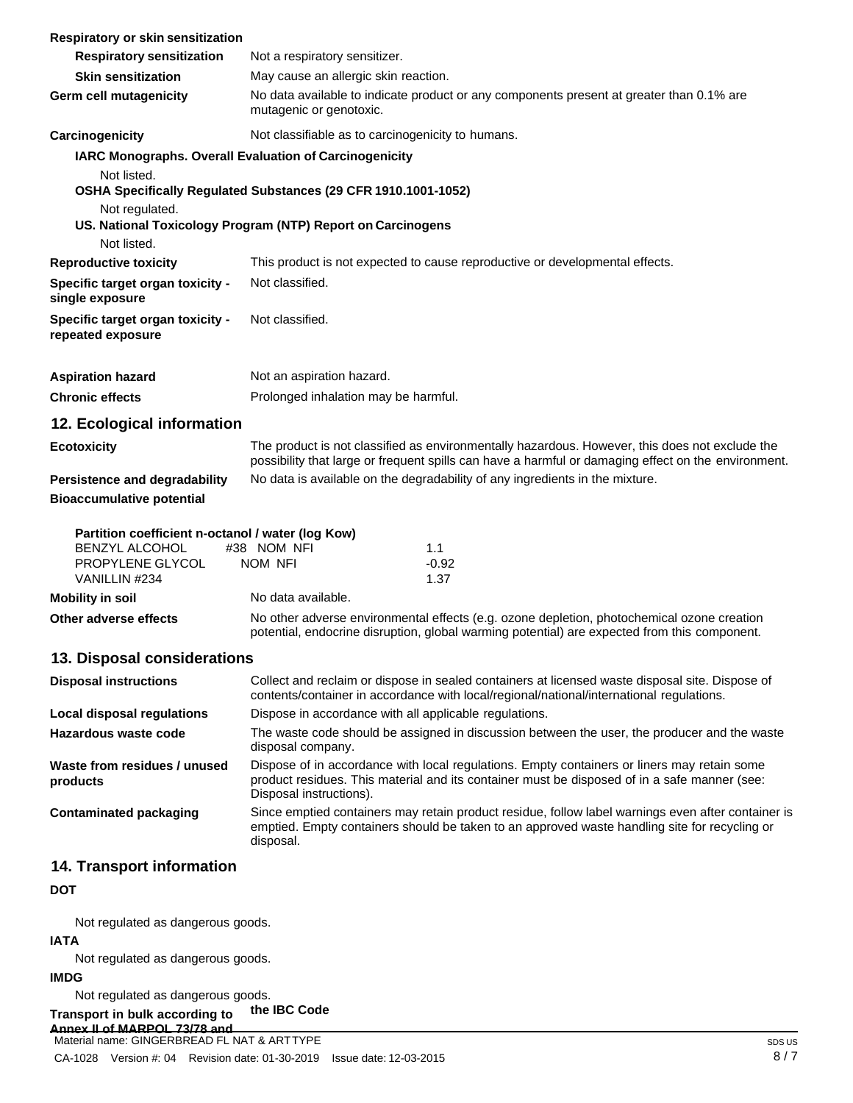| Respiratory or skin sensitization                                                                        |                                                                                                                                                                                                                        |
|----------------------------------------------------------------------------------------------------------|------------------------------------------------------------------------------------------------------------------------------------------------------------------------------------------------------------------------|
| <b>Respiratory sensitization</b>                                                                         | Not a respiratory sensitizer.                                                                                                                                                                                          |
| <b>Skin sensitization</b>                                                                                | May cause an allergic skin reaction.                                                                                                                                                                                   |
| Germ cell mutagenicity                                                                                   | No data available to indicate product or any components present at greater than 0.1% are<br>mutagenic or genotoxic.                                                                                                    |
| Carcinogenicity                                                                                          | Not classifiable as to carcinogenicity to humans.                                                                                                                                                                      |
| IARC Monographs. Overall Evaluation of Carcinogenicity                                                   |                                                                                                                                                                                                                        |
| Not listed.                                                                                              | OSHA Specifically Regulated Substances (29 CFR 1910.1001-1052)                                                                                                                                                         |
| Not regulated.                                                                                           | US. National Toxicology Program (NTP) Report on Carcinogens                                                                                                                                                            |
| Not listed.                                                                                              |                                                                                                                                                                                                                        |
| <b>Reproductive toxicity</b>                                                                             | This product is not expected to cause reproductive or developmental effects.                                                                                                                                           |
| Specific target organ toxicity -<br>single exposure                                                      | Not classified.                                                                                                                                                                                                        |
| Specific target organ toxicity -<br>repeated exposure                                                    | Not classified.                                                                                                                                                                                                        |
| <b>Aspiration hazard</b>                                                                                 | Not an aspiration hazard.                                                                                                                                                                                              |
| <b>Chronic effects</b>                                                                                   | Prolonged inhalation may be harmful.                                                                                                                                                                                   |
| 12. Ecological information                                                                               |                                                                                                                                                                                                                        |
| <b>Ecotoxicity</b>                                                                                       | The product is not classified as environmentally hazardous. However, this does not exclude the<br>possibility that large or frequent spills can have a harmful or damaging effect on the environment.                  |
| Persistence and degradability<br><b>Bioaccumulative potential</b>                                        | No data is available on the degradability of any ingredients in the mixture.                                                                                                                                           |
| Partition coefficient n-octanol / water (log Kow)<br>BENZYL ALCOHOL<br>PROPYLENE GLYCOL<br>VANILLIN #234 | #38 NOM NFI<br>1.1<br>$-0.92$<br><b>NOM NFI</b><br>1.37                                                                                                                                                                |
| <b>Mobility in soil</b>                                                                                  | No data available.                                                                                                                                                                                                     |
| Other adverse effects                                                                                    | No other adverse environmental effects (e.g. ozone depletion, photochemical ozone creation<br>potential, endocrine disruption, global warming potential) are expected from this component.                             |
| 13. Disposal considerations                                                                              |                                                                                                                                                                                                                        |
| <b>Disposal instructions</b>                                                                             | Collect and reclaim or dispose in sealed containers at licensed waste disposal site. Dispose of<br>contents/container in accordance with local/regional/national/international regulations.                            |
| <b>Local disposal regulations</b>                                                                        | Dispose in accordance with all applicable regulations.                                                                                                                                                                 |
| Hazardous waste code                                                                                     | The waste code should be assigned in discussion between the user, the producer and the waste<br>disposal company.                                                                                                      |
| Waste from residues / unused<br>products                                                                 | Dispose of in accordance with local regulations. Empty containers or liners may retain some<br>product residues. This material and its container must be disposed of in a safe manner (see:<br>Disposal instructions). |
| <b>Contaminated packaging</b>                                                                            | Since emptied containers may retain product residue, follow label warnings even after container is<br>emptied. Empty containers should be taken to an approved waste handling site for recycling or<br>disposal.       |
| 14. Transport information                                                                                |                                                                                                                                                                                                                        |
| <b>DOT</b>                                                                                               |                                                                                                                                                                                                                        |

Not regulated as dangerous goods.

### **IATA**

Not regulated as dangerous goods.

#### **IMDG**

Not regulated as dangerous goods.

#### **Transport in bulk according to the IBC Code**

**Annex II of MARPOL 73/78 and Material name: GINGERBREAD FL NAT & ARTTYPE**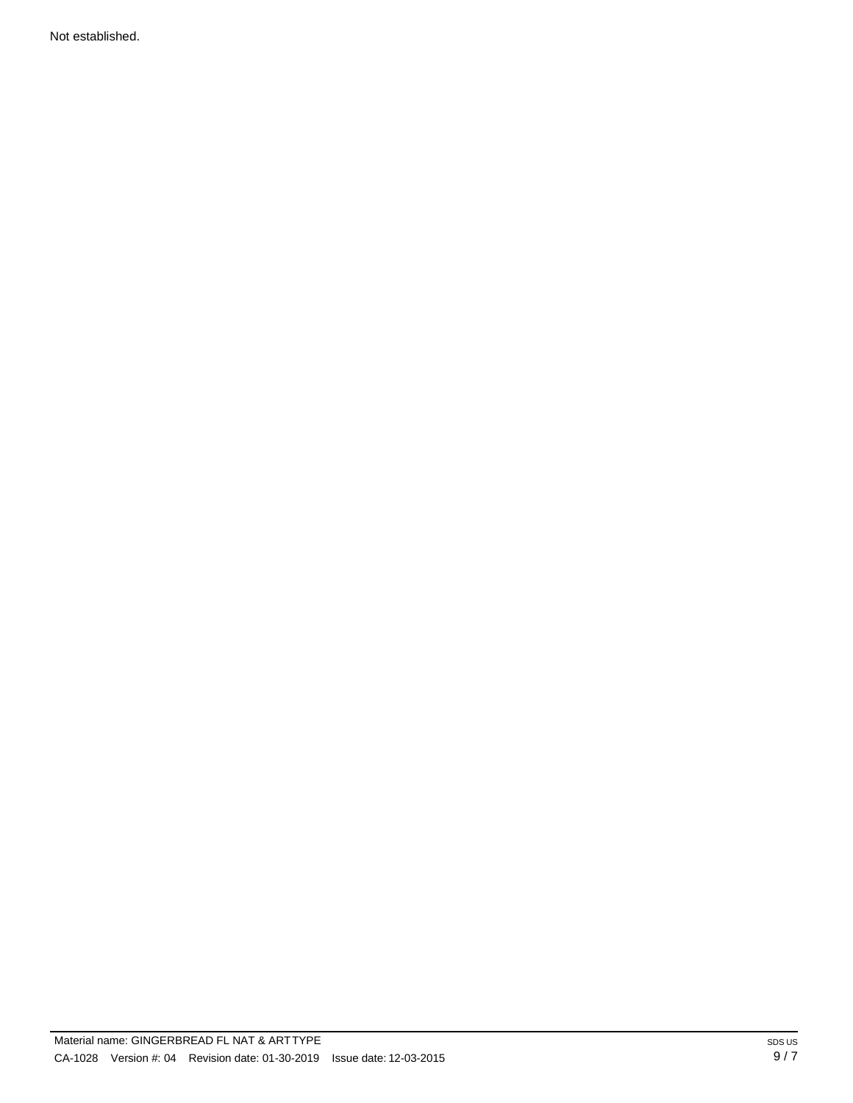Not established.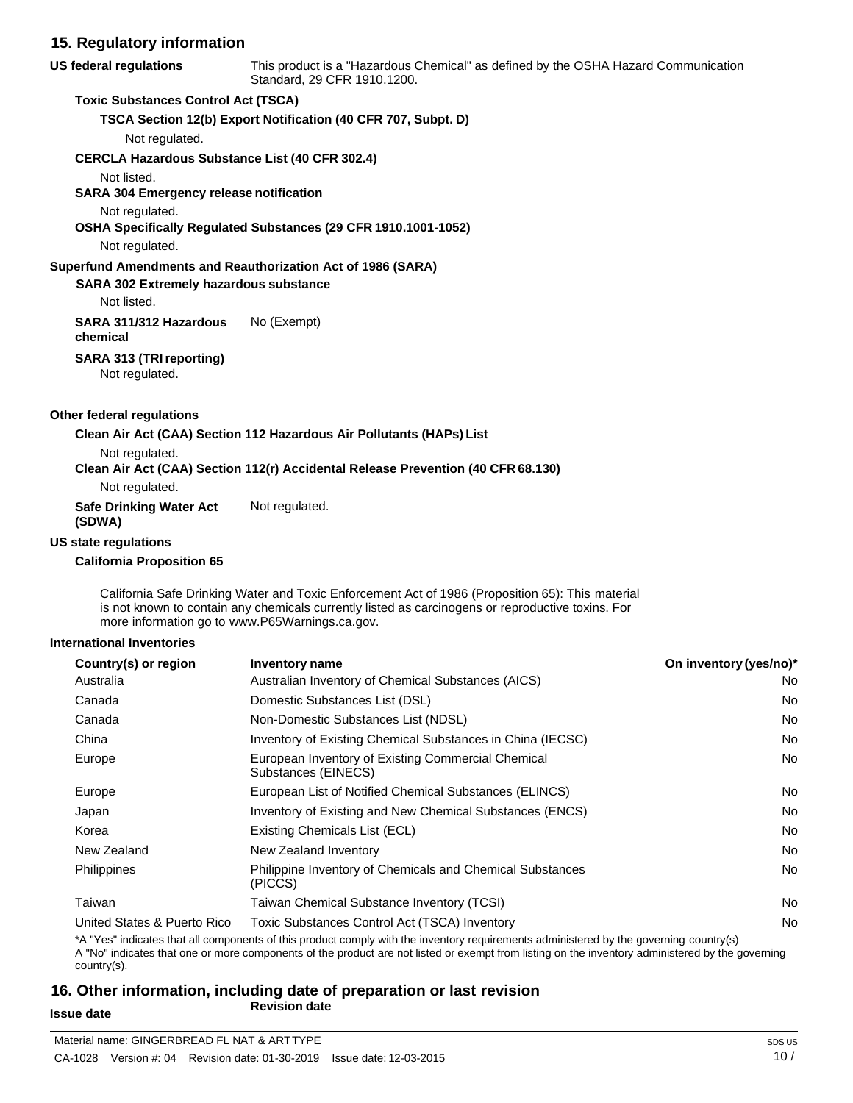# **15. Regulatory information**

**US federal regulations** This product is a "Hazardous Chemical" as defined by the OSHA Hazard Communication Standard, 29 CFR 1910.1200.

### **Toxic Substances Control Act (TSCA)**

**TSCA Section 12(b) Export Notification (40 CFR 707, Subpt. D)**

Not regulated.

**CERCLA Hazardous Substance List (40 CFR 302.4)**

Not listed.

**SARA 304 Emergency release notification**

Not regulated.

**OSHA Specifically Regulated Substances (29 CFR 1910.1001-1052)**

Not regulated.

### **Superfund Amendments and Reauthorization Act of 1986 (SARA)**

**SARA 302 Extremely hazardous substance**

Not listed.

**SARA 311/312 Hazardous chemical** No (Exempt)

### **SARA 313 (TRIreporting)**

Not regulated.

#### **Other federal regulations**

**Clean Air Act (CAA) Section 112 Hazardous Air Pollutants (HAPs) List**

Not regulated.

#### **Clean Air Act (CAA) Section 112(r) Accidental Release Prevention (40 CFR 68.130)**

Not regulated.

**Safe Drinking Water Act**  Not regulated.

# **(SDWA)**

#### **US state regulations**

#### **California Proposition 65**

California Safe Drinking Water and Toxic Enforcement Act of 1986 (Proposition 65): This material is not known to contain any chemicals currently listed as carcinogens or reproductive toxins. For more information go to [www.P65Warnings.ca.gov.](http://www.p65warnings.ca.gov/)

#### **International Inventories**

| Country(s) or region        | Inventory name                                                              | On inventory (yes/no)* |
|-----------------------------|-----------------------------------------------------------------------------|------------------------|
| Australia                   | Australian Inventory of Chemical Substances (AICS)                          | No.                    |
| Canada                      | Domestic Substances List (DSL)                                              | No.                    |
| Canada                      | Non-Domestic Substances List (NDSL)                                         | No.                    |
| China                       | Inventory of Existing Chemical Substances in China (IECSC)                  | No.                    |
| Europe                      | European Inventory of Existing Commercial Chemical<br>Substances (EINECS)   | No.                    |
| Europe                      | European List of Notified Chemical Substances (ELINCS)                      | No.                    |
| Japan                       | Inventory of Existing and New Chemical Substances (ENCS)                    | No.                    |
| Korea                       | Existing Chemicals List (ECL)                                               | No.                    |
| New Zealand                 | New Zealand Inventory                                                       | No.                    |
| <b>Philippines</b>          | <b>Philippine Inventory of Chemicals and Chemical Substances</b><br>(PICCS) | No.                    |
| Taiwan                      | Taiwan Chemical Substance Inventory (TCSI)                                  | No.                    |
| United States & Puerto Rico | Toxic Substances Control Act (TSCA) Inventory                               | No.                    |

\*A "Yes" indicates that all components of this product comply with the inventory requirements administered by the governing country(s) A "No" indicates that one or more components of the product are not listed or exempt from listing on the inventory administered by the governing country(s).

# **16. Other information, including date of preparation or last revision Issue date** *Revision* date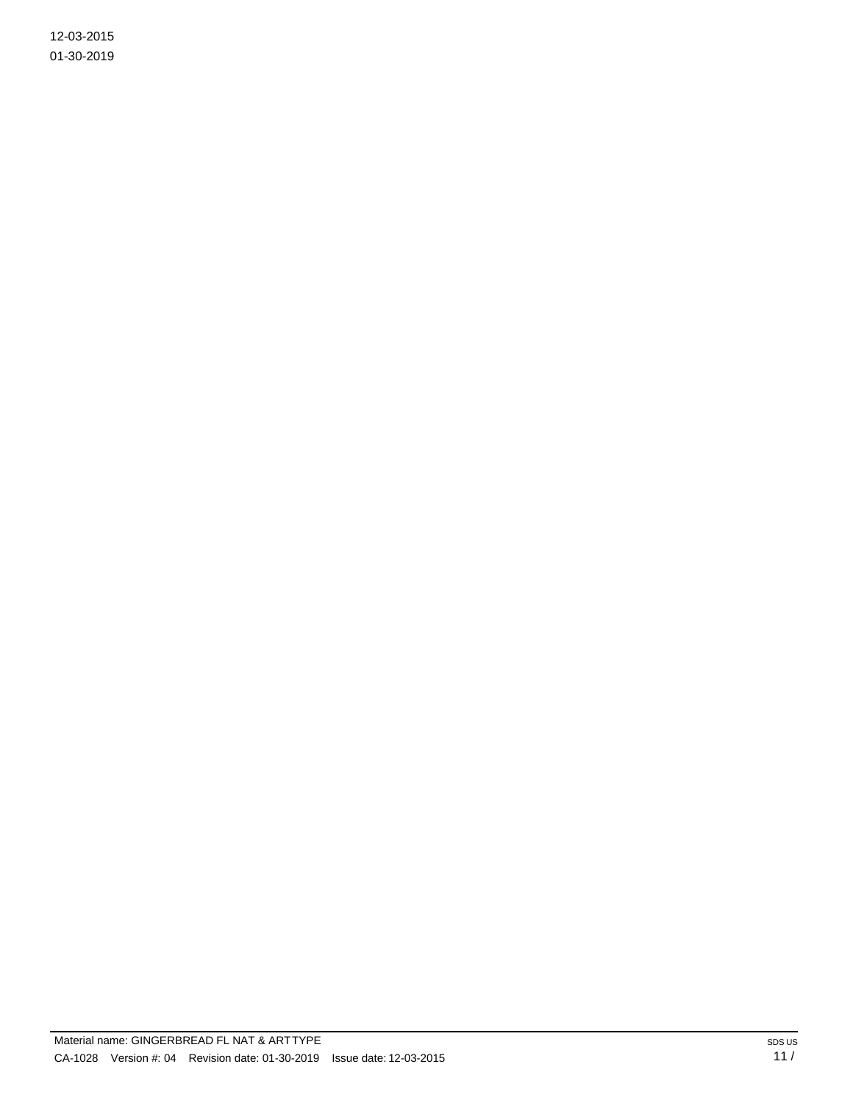12-03-2015 01-30-2019